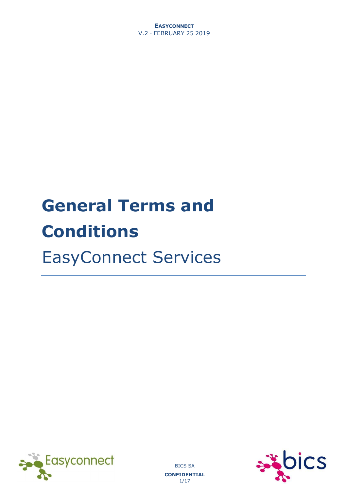**EASYCONNECT** V.2 - FEBRUARY 25 2019

# **General Terms and Conditions**  EasyConnect Services





BICS SA **CONFIDENTIAL**  1/17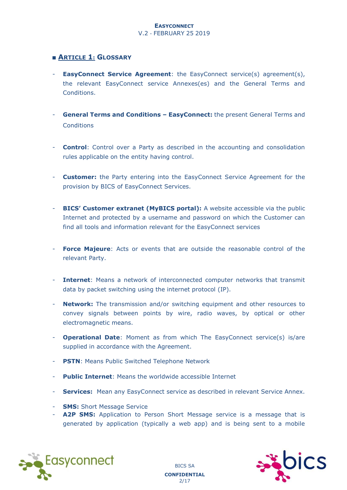#### ■ **ARTICLE 1: GLOSSARY**

- **EasyConnect Service Agreement**: the EasyConnect service(s) agreement(s), the relevant EasyConnect service Annexes(es) and the General Terms and Conditions.
- **General Terms and Conditions – EasyConnect:** the present General Terms and **Conditions**
- **Control**: Control over a Party as described in the accounting and consolidation rules applicable on the entity having control.
- **Customer:** the Party entering into the EasyConnect Service Agreement for the provision by BICS of EasyConnect Services.
- **BICS' Customer extranet (MyBICS portal):** A website accessible via the public Internet and protected by a username and password on which the Customer can find all tools and information relevant for the EasyConnect services
- **Force Majeure**: Acts or events that are outside the reasonable control of the relevant Party.
- **Internet**: Means a network of interconnected computer networks that transmit data by packet switching using the internet protocol (IP).
- **Network:** The transmission and/or switching equipment and other resources to convey signals between points by wire, radio waves, by optical or other electromagnetic means.
- **Operational Date**: Moment as from which The EasyConnect service(s) is/are supplied in accordance with the Agreement.
- **PSTN**: Means Public Switched Telephone Network
- **Public Internet:** Means the worldwide accessible Internet
- **Services:** Mean any EasyConnect service as described in relevant Service Annex.
- **SMS:** Short Message Service
- A2P SMS: Application to Person Short Message service is a message that is generated by application (typically a web app) and is being sent to a mobile

BICS SA **CONFIDENTIAL**  2/17

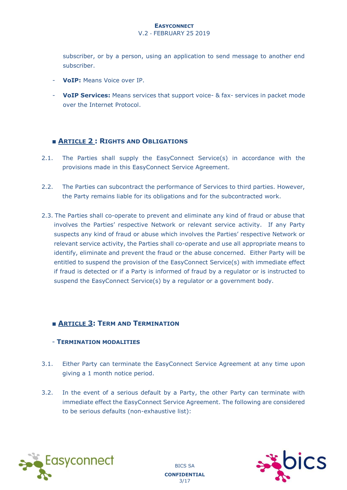#### V.2 - FEBRUARY 25 2019

subscriber, or by a person, using an application to send message to another end subscriber.

- **VoIP:** Means Voice over IP.
- **VoIP Services:** Means services that support voice- & fax- services in packet mode over the Internet Protocol.

#### ■ **ARTICLE 2 : RIGHTS AND OBLIGATIONS**

- 2.1. The Parties shall supply the EasyConnect Service(s) in accordance with the provisions made in this EasyConnect Service Agreement.
- 2.2. The Parties can subcontract the performance of Services to third parties. However, the Party remains liable for its obligations and for the subcontracted work.
- 2.3. The Parties shall co-operate to prevent and eliminate any kind of fraud or abuse that involves the Parties' respective Network or relevant service activity. If any Party suspects any kind of fraud or abuse which involves the Parties' respective Network or relevant service activity, the Parties shall co-operate and use all appropriate means to identify, eliminate and prevent the fraud or the abuse concerned. Either Party will be entitled to suspend the provision of the EasyConnect Service(s) with immediate effect if fraud is detected or if a Party is informed of fraud by a regulator or is instructed to suspend the EasyConnect Service(s) by a regulator or a government body.

#### ■ **ARTICLE 3: TERM AND TERMINATION**

#### - **TERMINATION MODALITIES**

- 3.1. Either Party can terminate the EasyConnect Service Agreement at any time upon giving a 1 month notice period.
- 3.2. In the event of a serious default by a Party, the other Party can terminate with immediate effect the EasyConnect Service Agreement. The following are considered to be serious defaults (non-exhaustive list):

BICS SA **CONFIDENTIAL**  3/17



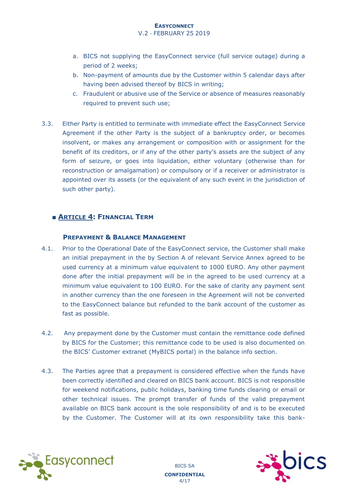V.2 - FEBRUARY 25 2019

- a. BICS not supplying the EasyConnect service (full service outage) during a period of 2 weeks;
- b. Non-payment of amounts due by the Customer within 5 calendar days after having been advised thereof by BICS in writing;
- c. Fraudulent or abusive use of the Service or absence of measures reasonably required to prevent such use;
- 3.3. Either Party is entitled to terminate with immediate effect the EasyConnect Service Agreement if the other Party is the subject of a bankruptcy order, or becomes insolvent, or makes any arrangement or composition with or assignment for the benefit of its creditors, or if any of the other party's assets are the subject of any form of seizure, or goes into liquidation, either voluntary (otherwise than for reconstruction or amalgamation) or compulsory or if a receiver or administrator is appointed over its assets (or the equivalent of any such event in the jurisdiction of such other party).

#### ■ **ARTICLE 4: FINANCIAL TERM**

#### **PREPAYMENT & BALANCE MANAGEMENT**

- 4.1. Prior to the Operational Date of the EasyConnect service, the Customer shall make an initial prepayment in the by Section A of relevant Service Annex agreed to be used currency at a minimum value equivalent to 1000 EURO. Any other payment done after the initial prepayment will be in the agreed to be used currency at a minimum value equivalent to 100 EURO. For the sake of clarity any payment sent in another currency than the one foreseen in the Agreement will not be converted to the EasyConnect balance but refunded to the bank account of the customer as fast as possible.
- 4.2. Any prepayment done by the Customer must contain the remittance code defined by BICS for the Customer; this remittance code to be used is also documented on the BICS' Customer extranet (MyBICS portal) in the balance info section.
- 4.3. The Parties agree that a prepayment is considered effective when the funds have been correctly identified and cleared on BICS bank account. BICS is not responsible for weekend notifications, public holidays, banking time funds clearing or email or other technical issues. The prompt transfer of funds of the valid prepayment available on BICS bank account is the sole responsibility of and is to be executed by the Customer. The Customer will at its own responsibility take this bank-

BICS SA **CONFIDENTIAL**  4/17



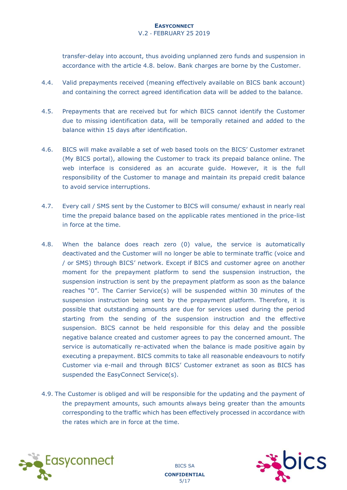#### V.2 - FEBRUARY 25 2019

transfer-delay into account, thus avoiding unplanned zero funds and suspension in accordance with the article 4.8. below. Bank charges are borne by the Customer.

- 4.4. Valid prepayments received (meaning effectively available on BICS bank account) and containing the correct agreed identification data will be added to the balance.
- 4.5. Prepayments that are received but for which BICS cannot identify the Customer due to missing identification data, will be temporally retained and added to the balance within 15 days after identification.
- 4.6. BICS will make available a set of web based tools on the BICS' Customer extranet (My BICS portal), allowing the Customer to track its prepaid balance online. The web interface is considered as an accurate guide. However, it is the full responsibility of the Customer to manage and maintain its prepaid credit balance to avoid service interruptions.
- 4.7. Every call / SMS sent by the Customer to BICS will consume/ exhaust in nearly real time the prepaid balance based on the applicable rates mentioned in the price-list in force at the time.
- 4.8. When the balance does reach zero (0) value, the service is automatically deactivated and the Customer will no longer be able to terminate traffic (voice and / or SMS) through BICS' network. Except if BICS and customer agree on another moment for the prepayment platform to send the suspension instruction, the suspension instruction is sent by the prepayment platform as soon as the balance reaches "0". The Carrier Service(s) will be suspended within 30 minutes of the suspension instruction being sent by the prepayment platform. Therefore, it is possible that outstanding amounts are due for services used during the period starting from the sending of the suspension instruction and the effective suspension. BICS cannot be held responsible for this delay and the possible negative balance created and customer agrees to pay the concerned amount. The service is automatically re-activated when the balance is made positive again by executing a prepayment. BICS commits to take all reasonable endeavours to notify Customer via e-mail and through BICS' Customer extranet as soon as BICS has suspended the EasyConnect Service(s).
- 4.9. The Customer is obliged and will be responsible for the updating and the payment of the prepayment amounts, such amounts always being greater than the amounts corresponding to the traffic which has been effectively processed in accordance with the rates which are in force at the time.





BICS SA **CONFIDENTIAL**  5/17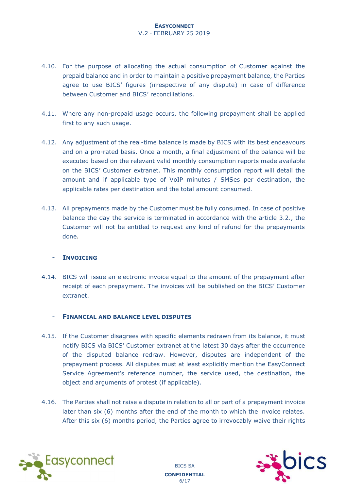#### V.2 - FEBRUARY 25 2019

- 4.10. For the purpose of allocating the actual consumption of Customer against the prepaid balance and in order to maintain a positive prepayment balance, the Parties agree to use BICS' figures (irrespective of any dispute) in case of difference between Customer and BICS' reconciliations.
- 4.11. Where any non-prepaid usage occurs, the following prepayment shall be applied first to any such usage.
- 4.12. Any adjustment of the real-time balance is made by BICS with its best endeavours and on a pro-rated basis. Once a month, a final adjustment of the balance will be executed based on the relevant valid monthly consumption reports made available on the BICS' Customer extranet. This monthly consumption report will detail the amount and if applicable type of VoIP minutes / SMSes per destination, the applicable rates per destination and the total amount consumed.
- 4.13. All prepayments made by the Customer must be fully consumed. In case of positive balance the day the service is terminated in accordance with the article 3.2., the Customer will not be entitled to request any kind of refund for the prepayments done.

#### - **INVOICING**

4.14. BICS will issue an electronic invoice equal to the amount of the prepayment after receipt of each prepayment. The invoices will be published on the BICS' Customer extranet.

#### - **FINANCIAL AND BALANCE LEVEL DISPUTES**

- 4.15. If the Customer disagrees with specific elements redrawn from its balance, it must notify BICS via BICS' Customer extranet at the latest 30 days after the occurrence of the disputed balance redraw. However, disputes are independent of the prepayment process. All disputes must at least explicitly mention the EasyConnect Service Agreement's reference number, the service used, the destination, the object and arguments of protest (if applicable).
- 4.16. The Parties shall not raise a dispute in relation to all or part of a prepayment invoice later than six (6) months after the end of the month to which the invoice relates. After this six (6) months period, the Parties agree to irrevocably waive their rights



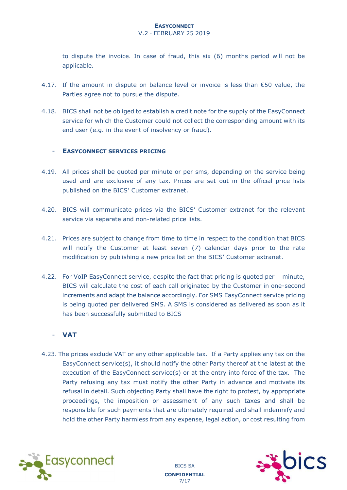V.2 - FEBRUARY 25 2019

to dispute the invoice. In case of fraud, this six (6) months period will not be applicable.

- 4.17. If the amount in dispute on balance level or invoice is less than  $\epsilon$ 50 value, the Parties agree not to pursue the dispute.
- 4.18. BICS shall not be obliged to establish a credit note for the supply of the EasyConnect service for which the Customer could not collect the corresponding amount with its end user (e.g. in the event of insolvency or fraud).

#### - **EASYCONNECT SERVICES PRICING**

- 4.19. All prices shall be quoted per minute or per sms, depending on the service being used and are exclusive of any tax. Prices are set out in the official price lists published on the BICS' Customer extranet.
- 4.20. BICS will communicate prices via the BICS' Customer extranet for the relevant service via separate and non-related price lists.
- 4.21. Prices are subject to change from time to time in respect to the condition that BICS will notify the Customer at least seven (7) calendar days prior to the rate modification by publishing a new price list on the BICS' Customer extranet.
- 4.22. For VoIP EasyConnect service, despite the fact that pricing is quoted per minute, BICS will calculate the cost of each call originated by the Customer in one-second increments and adapt the balance accordingly. For SMS EasyConnect service pricing is being quoted per delivered SMS. A SMS is considered as delivered as soon as it has been successfully submitted to BICS

#### - **VAT**

4.23. The prices exclude VAT or any other applicable tax. If a Party applies any tax on the EasyConnect service(s), it should notify the other Party thereof at the latest at the execution of the EasyConnect service(s) or at the entry into force of the tax. The Party refusing any tax must notify the other Party in advance and motivate its refusal in detail. Such objecting Party shall have the right to protest, by appropriate proceedings, the imposition or assessment of any such taxes and shall be responsible for such payments that are ultimately required and shall indemnify and hold the other Party harmless from any expense, legal action, or cost resulting from

> BICS SA **CONFIDENTIAL**  7/17

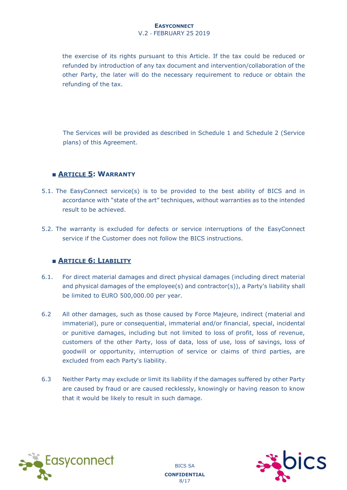#### V.2 - FEBRUARY 25 2019

the exercise of its rights pursuant to this Article. If the tax could be reduced or refunded by introduction of any tax document and intervention/collaboration of the other Party, the later will do the necessary requirement to reduce or obtain the refunding of the tax.

The Services will be provided as described in Schedule 1 and Schedule 2 (Service plans) of this Agreement.

#### ■ **ARTICLE 5: WARRANTY**

- 5.1. The EasyConnect service(s) is to be provided to the best ability of BICS and in accordance with "state of the art" techniques, without warranties as to the intended result to be achieved.
- 5.2. The warranty is excluded for defects or service interruptions of the EasyConnect service if the Customer does not follow the BICS instructions.

#### ■ **ARTICLE 6: LIABILITY**

- 6.1. For direct material damages and direct physical damages (including direct material and physical damages of the employee(s) and contractor(s)), a Party's liability shall be limited to EURO 500,000.00 per year.
- 6.2 All other damages, such as those caused by Force Majeure, indirect (material and immaterial), pure or consequential, immaterial and/or financial, special, incidental or punitive damages, including but not limited to loss of profit, loss of revenue, customers of the other Party, loss of data, loss of use, loss of savings, loss of goodwill or opportunity, interruption of service or claims of third parties, are excluded from each Party's liability.
- 6.3 Neither Party may exclude or limit its liability if the damages suffered by other Party are caused by fraud or are caused recklessly, knowingly or having reason to know that it would be likely to result in such damage.



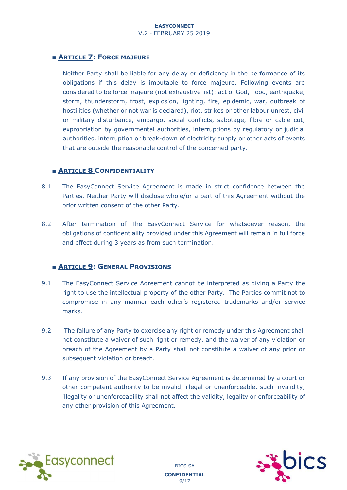#### ■ **ARTICLE 7: FORCE MAJEURE**

Neither Party shall be liable for any delay or deficiency in the performance of its obligations if this delay is imputable to force majeure. Following events are considered to be force majeure (not exhaustive list): act of God, flood, earthquake, storm, thunderstorm, frost, explosion, lighting, fire, epidemic, war, outbreak of hostilities (whether or not war is declared), riot, strikes or other labour unrest, civil or military disturbance, embargo, social conflicts, sabotage, fibre or cable cut, expropriation by governmental authorities, interruptions by regulatory or judicial authorities, interruption or break-down of electricity supply or other acts of events that are outside the reasonable control of the concerned party.

#### ■ **ARTICLE 8 CONFIDENTIALITY**

- 8.1 The EasyConnect Service Agreement is made in strict confidence between the Parties. Neither Party will disclose whole/or a part of this Agreement without the prior written consent of the other Party.
- 8.2 After termination of The EasyConnect Service for whatsoever reason, the obligations of confidentiality provided under this Agreement will remain in full force and effect during 3 years as from such termination.

#### ■ **ARTICLE 9: GENERAL PROVISIONS**

- 9.1 The EasyConnect Service Agreement cannot be interpreted as giving a Party the right to use the intellectual property of the other Party. The Parties commit not to compromise in any manner each other's registered trademarks and/or service marks.
- 9.2 The failure of any Party to exercise any right or remedy under this Agreement shall not constitute a waiver of such right or remedy, and the waiver of any violation or breach of the Agreement by a Party shall not constitute a waiver of any prior or subsequent violation or breach.
- 9.3 If any provision of the EasyConnect Service Agreement is determined by a court or other competent authority to be invalid, illegal or unenforceable, such invalidity, illegality or unenforceability shall not affect the validity, legality or enforceability of any other provision of this Agreement.

BICS SA **CONFIDENTIAL**  9/17



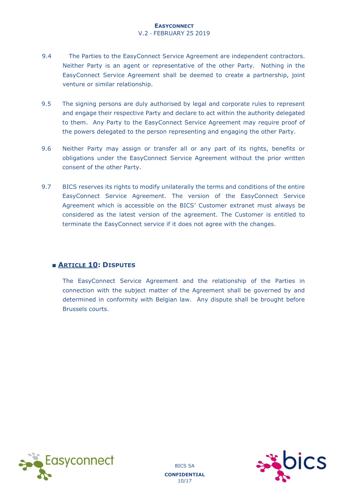V.2 - FEBRUARY 25 2019

- 9.4 The Parties to the EasyConnect Service Agreement are independent contractors. Neither Party is an agent or representative of the other Party. Nothing in the EasyConnect Service Agreement shall be deemed to create a partnership, joint venture or similar relationship.
- 9.5 The signing persons are duly authorised by legal and corporate rules to represent and engage their respective Party and declare to act within the authority delegated to them. Any Party to the EasyConnect Service Agreement may require proof of the powers delegated to the person representing and engaging the other Party.
- 9.6 Neither Party may assign or transfer all or any part of its rights, benefits or obligations under the EasyConnect Service Agreement without the prior written consent of the other Party.
- 9.7 BICS reserves its rights to modify unilaterally the terms and conditions of the entire EasyConnect Service Agreement. The version of the EasyConnect Service Agreement which is accessible on the BICS' Customer extranet must always be considered as the latest version of the agreement. The Customer is entitled to terminate the EasyConnect service if it does not agree with the changes.

#### ■ **ARTICLE 10: DISPUTES**

The EasyConnect Service Agreement and the relationship of the Parties in connection with the subject matter of the Agreement shall be governed by and determined in conformity with Belgian law. Any dispute shall be brought before Brussels courts.



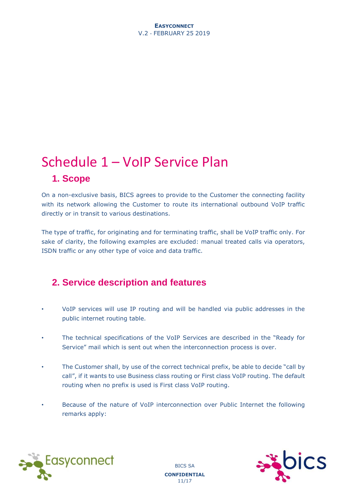#### **EASYCONNECT** V.2 - FEBRUARY 25 2019

# Schedule 1 – VoIP Service Plan **1. Scope**

On a non-exclusive basis, BICS agrees to provide to the Customer the connecting facility with its network allowing the Customer to route its international outbound VoIP traffic directly or in transit to various destinations.

The type of traffic, for originating and for terminating traffic, shall be VoIP traffic only. For sake of clarity, the following examples are excluded: manual treated calls via operators, ISDN traffic or any other type of voice and data traffic.

## **2. Service description and features**

- VoIP services will use IP routing and will be handled via public addresses in the public internet routing table.
- The technical specifications of the VoIP Services are described in the "Ready for Service" mail which is sent out when the interconnection process is over.
- The Customer shall, by use of the correct technical prefix, be able to decide "call by call", if it wants to use Business class routing or First class VoIP routing. The default routing when no prefix is used is First class VoIP routing.
- Because of the nature of VoIP interconnection over Public Internet the following remarks apply:

BICS SA **CONFIDENTIAL**  11/17



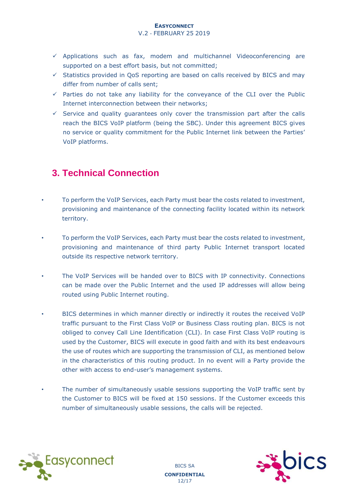#### V.2 - FEBRUARY 25 2019

- $\checkmark$  Applications such as fax, modem and multichannel Videoconferencing are supported on a best effort basis, but not committed;
- $\checkmark$  Statistics provided in QoS reporting are based on calls received by BICS and may differ from number of calls sent;
- $\checkmark$  Parties do not take any liability for the conveyance of the CLI over the Public Internet interconnection between their networks;
- $\checkmark$  Service and quality guarantees only cover the transmission part after the calls reach the BICS VoIP platform (being the SBC). Under this agreement BICS gives no service or quality commitment for the Public Internet link between the Parties' VoIP platforms.

## **3. Technical Connection**

- To perform the VoIP Services, each Party must bear the costs related to investment, provisioning and maintenance of the connecting facility located within its network territory.
- To perform the VoIP Services, each Party must bear the costs related to investment, provisioning and maintenance of third party Public Internet transport located outside its respective network territory.
- The VoIP Services will be handed over to BICS with IP connectivity. Connections can be made over the Public Internet and the used IP addresses will allow being routed using Public Internet routing.
- BICS determines in which manner directly or indirectly it routes the received VoIP traffic pursuant to the First Class VoIP or Business Class routing plan. BICS is not obliged to convey Call Line Identification (CLI). In case First Class VoIP routing is used by the Customer, BICS will execute in good faith and with its best endeavours the use of routes which are supporting the transmission of CLI, as mentioned below in the characteristics of this routing product. In no event will a Party provide the other with access to end-user's management systems.
- The number of simultaneously usable sessions supporting the VoIP traffic sent by the Customer to BICS will be fixed at 150 sessions. If the Customer exceeds this number of simultaneously usable sessions, the calls will be rejected.



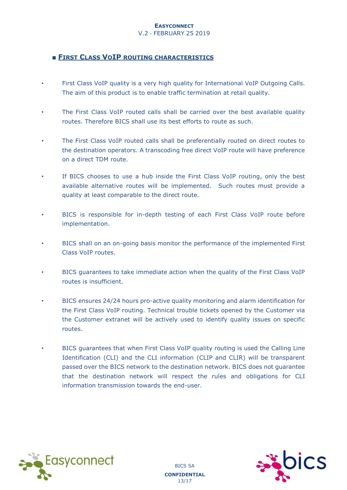#### V.2 - FEBRUARY 25 2019

#### ■ **FIRST CLASS VOIP ROUTING CHARACTERISTICS**

- First Class VoIP quality is a very high quality for International VoIP Outgoing Calls. The aim of this product is to enable traffic termination at retail quality.
- The First Class VoIP routed calls shall be carried over the best available quality routes. Therefore BICS shall use its best efforts to route as such.
- The First Class VoIP routed calls shall be preferentially routed on direct routes to the destination operators. A transcoding free direct VoIP route will have preference on a direct TDM route.
- If BICS chooses to use a hub inside the First Class VoIP routing, only the best available alternative routes will be implemented. Such routes must provide a quality at least comparable to the direct route.
- BICS is responsible for in-depth testing of each First Class VoIP route before implementation.
- BICS shall on an on-going basis monitor the performance of the implemented First Class VoIP routes.
- BICS guarantees to take immediate action when the quality of the First Class VoIP routes is insufficient.
- BICS ensures 24/24 hours pro-active quality monitoring and alarm identification for the First Class VoIP routing. Technical trouble tickets opened by the Customer via the Customer extranet will be actively used to identify quality issues on specific routes.
- BICS guarantees that when First Class VoIP quality routing is used the Calling Line Identification (CLI) and the CLI information (CLIP and CLIR) will be transparent passed over the BICS network to the destination network. BICS does not guarantee that the destination network will respect the rules and obligations for CLI information transmission towards the end-user.





BICS SA **CONFIDENTIAL**  13/17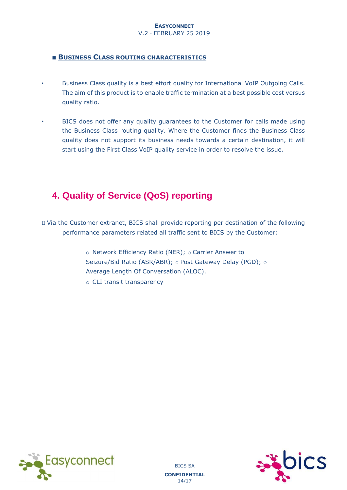V.2 - FEBRUARY 25 2019

#### ■ **BUSINESS CLASS ROUTING CHARACTERISTICS**

- Business Class quality is a best effort quality for International VoIP Outgoing Calls. The aim of this product is to enable traffic termination at a best possible cost versus quality ratio.
- BICS does not offer any quality guarantees to the Customer for calls made using the Business Class routing quality. Where the Customer finds the Business Class quality does not support its business needs towards a certain destination, it will start using the First Class VoIP quality service in order to resolve the issue.

# **4. Quality of Service (QoS) reporting**

Via the Customer extranet, BICS shall provide reporting per destination of the following performance parameters related all traffic sent to BICS by the Customer:

> o Network Efficiency Ratio (NER); o Carrier Answer to Seizure/Bid Ratio (ASR/ABR); o Post Gateway Delay (PGD); o Average Length Of Conversation (ALOC).

o CLI transit transparency



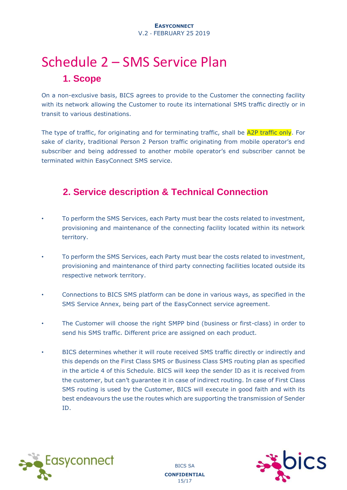# Schedule 2 – SMS Service Plan **1. Scope**

On a non-exclusive basis, BICS agrees to provide to the Customer the connecting facility with its network allowing the Customer to route its international SMS traffic directly or in transit to various destinations.

The type of traffic, for originating and for terminating traffic, shall be A2P traffic only. For sake of clarity, traditional Person 2 Person traffic originating from mobile operator's end subscriber and being addressed to another mobile operator's end subscriber cannot be terminated within EasyConnect SMS service.

# **2. Service description & Technical Connection**

- To perform the SMS Services, each Party must bear the costs related to investment, provisioning and maintenance of the connecting facility located within its network territory.
- To perform the SMS Services, each Party must bear the costs related to investment, provisioning and maintenance of third party connecting facilities located outside its respective network territory.
- Connections to BICS SMS platform can be done in various ways, as specified in the SMS Service Annex, being part of the EasyConnect service agreement.
- The Customer will choose the right SMPP bind (business or first-class) in order to send his SMS traffic. Different price are assigned on each product.
- BICS determines whether it will route received SMS traffic directly or indirectly and this depends on the First Class SMS or Business Class SMS routing plan as specified in the article 4 of this Schedule. BICS will keep the sender ID as it is received from the customer, but can't guarantee it in case of indirect routing. In case of First Class SMS routing is used by the Customer, BICS will execute in good faith and with its best endeavours the use the routes which are supporting the transmission of Sender ID.



BICS SA **CONFIDENTIAL**  15/17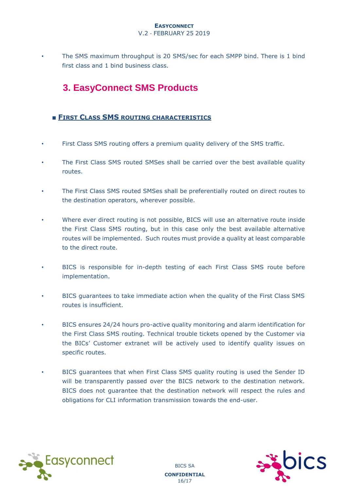#### V.2 - FEBRUARY 25 2019

• The SMS maximum throughput is 20 SMS/sec for each SMPP bind. There is 1 bind first class and 1 bind business class.

# **3. EasyConnect SMS Products**

#### ■ **FIRST CLASS SMS ROUTING CHARACTERISTICS**

- First Class SMS routing offers a premium quality delivery of the SMS traffic.
- The First Class SMS routed SMSes shall be carried over the best available quality routes.
- The First Class SMS routed SMSes shall be preferentially routed on direct routes to the destination operators, wherever possible.
- Where ever direct routing is not possible, BICS will use an alternative route inside the First Class SMS routing, but in this case only the best available alternative routes will be implemented. Such routes must provide a quality at least comparable to the direct route.
- BICS is responsible for in-depth testing of each First Class SMS route before implementation.
- BICS guarantees to take immediate action when the quality of the First Class SMS routes is insufficient.
- BICS ensures 24/24 hours pro-active quality monitoring and alarm identification for the First Class SMS routing. Technical trouble tickets opened by the Customer via the BICs' Customer extranet will be actively used to identify quality issues on specific routes.
- BICS guarantees that when First Class SMS quality routing is used the Sender ID will be transparently passed over the BICS network to the destination network. BICS does not guarantee that the destination network will respect the rules and obligations for CLI information transmission towards the end-user.





BICS SA **CONFIDENTIAL**  16/17